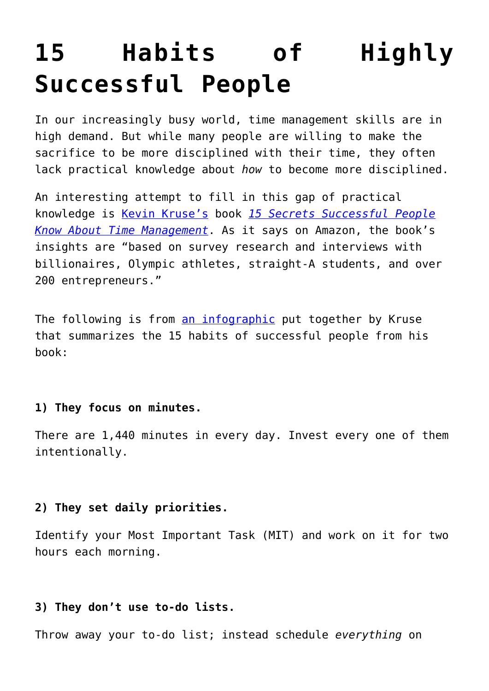# **[15 Habits of Highly](https://intellectualtakeout.org/2016/07/15-habits-of-highly-successful-people/) [Successful People](https://intellectualtakeout.org/2016/07/15-habits-of-highly-successful-people/)**

In our increasingly busy world, time management skills are in high demand. But while many people are willing to make the sacrifice to be more disciplined with their time, they often lack practical knowledge about *how* to become more disciplined.

An interesting attempt to fill in this gap of practical knowledge is [Kevin Kruse's](http://www.kevinkruse.com/) book *[15 Secrets Successful People](http://amzn.to/29lK8Tk) [Know About Time Management](http://amzn.to/29lK8Tk)*. As it says on Amazon, the book's insights are "based on survey research and interviews with billionaires, Olympic athletes, straight-A students, and over 200 entrepreneurs."

The following is from [an infographic](http://www.huffingtonpost.com/kevin-kruse/15-secrets-successful-people-know-about-productivity_b_9135478.html) put together by Kruse that summarizes the 15 habits of successful people from his book:

# **1) They focus on minutes.**

There are 1,440 minutes in every day. Invest every one of them intentionally.

# **2) They set daily priorities.**

Identify your Most Important Task (MIT) and work on it for two hours each morning.

# **3) They don't use to-do lists.**

Throw away your to-do list; instead schedule *everything* on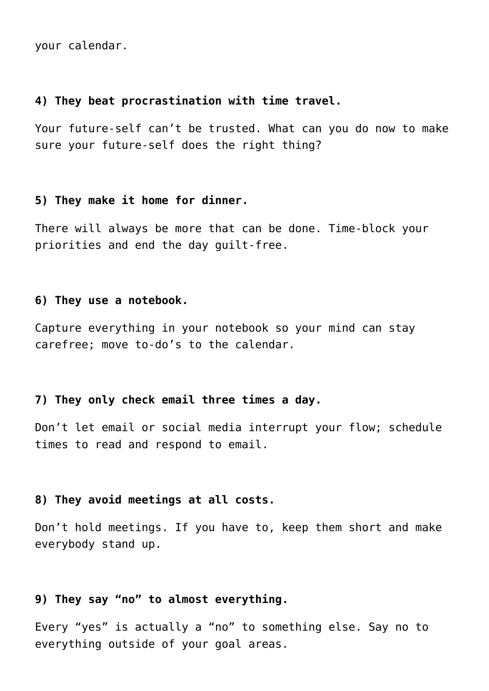your calendar.

#### **4) They beat procrastination with time travel.**

Your future-self can't be trusted. What can you do now to make sure your future-self does the right thing?

# **5) They make it home for dinner.**

There will always be more that can be done. Time-block your priorities and end the day guilt-free.

#### **6) They use a notebook.**

Capture everything in your notebook so your mind can stay carefree; move to-do's to the calendar.

## **7) They only check email three times a day.**

Don't let email or social media interrupt your flow; schedule times to read and respond to email.

#### **8) They avoid meetings at all costs.**

Don't hold meetings. If you have to, keep them short and make everybody stand up.

## **9) They say "no" to almost everything.**

Every "yes" is actually a "no" to something else. Say no to everything outside of your goal areas.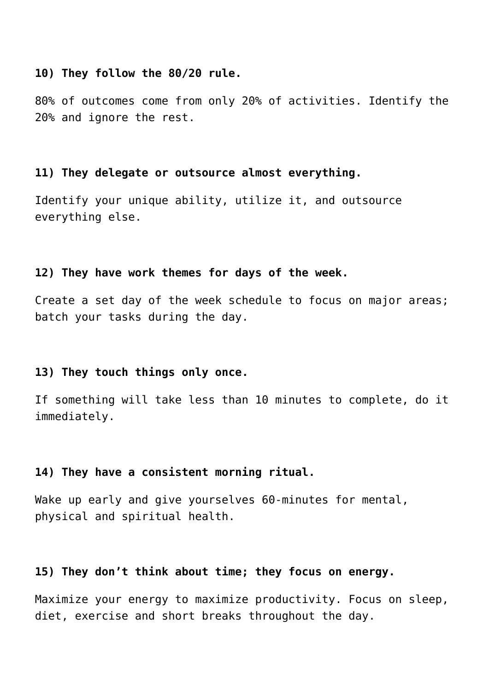#### **10) They follow the 80/20 rule.**

80% of outcomes come from only 20% of activities. Identify the 20% and ignore the rest.

#### **11) They delegate or outsource almost everything.**

Identify your unique ability, utilize it, and outsource everything else.

#### **12) They have work themes for days of the week.**

Create a set day of the week schedule to focus on major areas; batch your tasks during the day.

#### **13) They touch things only once.**

If something will take less than 10 minutes to complete, do it immediately.

## **14) They have a consistent morning ritual.**

Wake up early and give yourselves 60-minutes for mental, physical and spiritual health.

## **15) They don't think about time; they focus on energy.**

Maximize your energy to maximize productivity. Focus on sleep, diet, exercise and short breaks throughout the day.